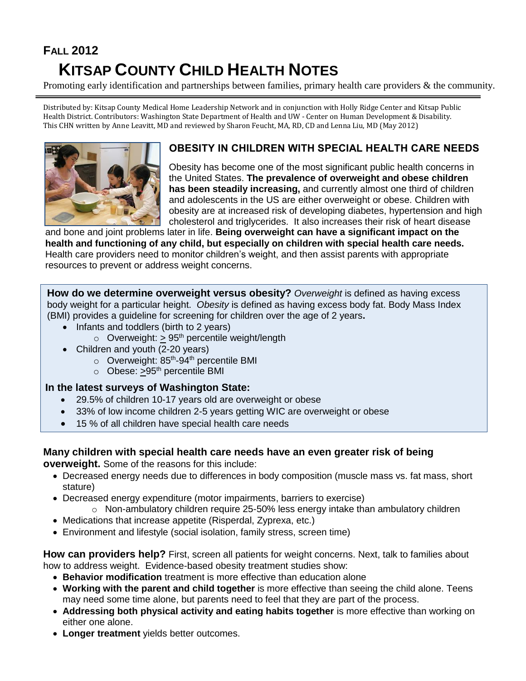## **FALL 2012 KITSAP COUNTY CHILD HEALTH NOTES**

Promoting early identification and partnerships between families, primary health care providers & the community.

Distributed by: Kitsap County Medical Home Leadership Network and in conjunction with Holly Ridge Center and Kitsap Public Health District. Contributors: Washington State Department of Health and UW - Center on Human Development & Disability. This CHN written by Anne Leavitt, MD and reviewed by Sharon Feucht, MA, RD, CD and Lenna Liu, MD (May 2012)



## **OBESITY IN CHILDREN WITH SPECIAL HEALTH CARE NEEDS**

Obesity has become one of the most significant public health concerns in the United States. **The prevalence of overweight and obese children has been steadily increasing,** and currently almost one third of children and adolescents in the US are either overweight or obese. Children with obesity are at increased risk of developing diabetes, hypertension and high cholesterol and triglycerides. It also increases their risk of heart disease

and bone and joint problems later in life. **Being overweight can have a significant impact on the health and functioning of any child, but especially on children with special health care needs.** Health care providers need to monitor children's weight, and then assist parents with appropriate resources to prevent or address weight concerns.

**How do we determine overweight versus obesity?** *Overweight* is defined as having excess body weight for a particular height. *Obesity* is defined as having excess body fat. Body Mass Index (BMI) provides a guideline for screening for children over the age of 2 years**.** 

- Infants and toddlers (birth to 2 years)
	- $\circ$  Overweight: > 95<sup>th</sup> percentile weight/length
- Children and youth (2-20 years)
	- o Overweight: 85<sup>th</sup>-94<sup>th</sup> percentile BMI
	- $\circ$  Obese: >95<sup>th</sup> percentile BMI

## **In the latest surveys of Washington State:**

- 29.5% of children 10-17 years old are overweight or obese
- 33% of low income children 2-5 years getting WIC are overweight or obese
- 15 % of all children have special health care needs

## **Many children with special health care needs have an even greater risk of being**

**overweight.** Some of the reasons for this include:

- Decreased energy needs due to differences in body composition (muscle mass vs. fat mass, short stature)
- Decreased energy expenditure (motor impairments, barriers to exercise)
	- $\circ$  Non-ambulatory children require 25-50% less energy intake than ambulatory children
- Medications that increase appetite (Risperdal, Zyprexa, etc.)
- Environment and lifestyle (social isolation, family stress, screen time)

**How can providers help?** First, screen all patients for weight concerns. Next, talk to families about how to address weight. Evidence-based obesity treatment studies show:

- **Behavior modification** treatment is more effective than education alone
- **Working with the parent and child together** is more effective than seeing the child alone. Teens may need some time alone, but parents need to feel that they are part of the process.
- **Addressing both physical activity and eating habits together** is more effective than working on either one alone.
- **Longer treatment** yields better outcomes.